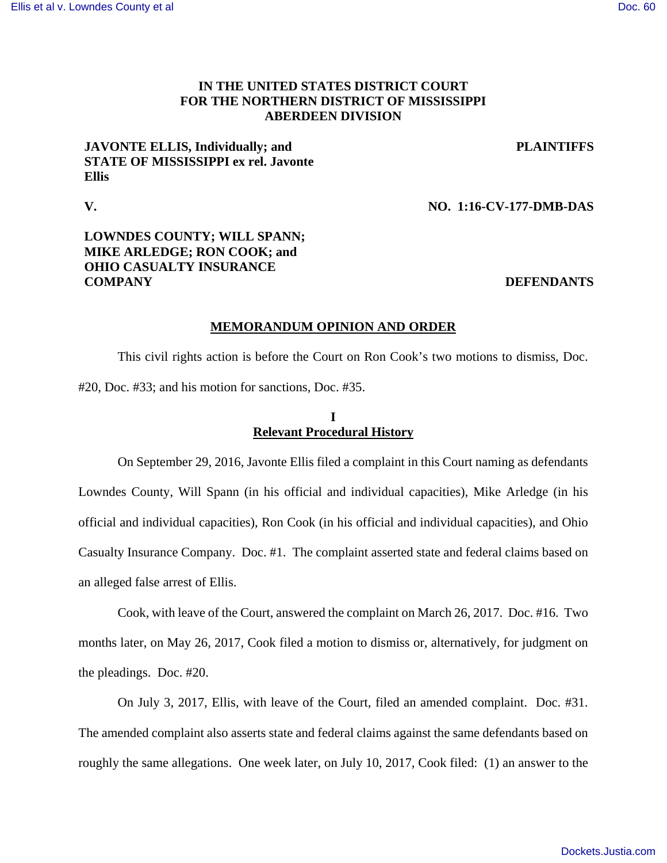# **IN THE UNITED STATES DISTRICT COURT FOR THE NORTHERN DISTRICT OF MISSISSIPPI ABERDEEN DIVISION**

# **JAVONTE ELLIS, Individually; and STATE OF MISSISSIPPI ex rel. Javonte Ellis**

**PLAINTIFFS**

#### **V. NO. 1:16-CV-177-DMB-DAS**

# **LOWNDES COUNTY; WILL SPANN; MIKE ARLEDGE; RON COOK; and OHIO CASUALTY INSURANCE COMPANY** DEFENDANTS

#### **MEMORANDUM OPINION AND ORDER**

 This civil rights action is before the Court on Ron Cook's two motions to dismiss, Doc. #20, Doc. #33; and his motion for sanctions, Doc. #35.

# **I Relevant Procedural History**

 On September 29, 2016, Javonte Ellis filed a complaint in this Court naming as defendants Lowndes County, Will Spann (in his official and individual capacities), Mike Arledge (in his official and individual capacities), Ron Cook (in his official and individual capacities), and Ohio Casualty Insurance Company. Doc. #1. The complaint asserted state and federal claims based on an alleged false arrest of Ellis.

 Cook, with leave of the Court, answered the complaint on March 26, 2017. Doc. #16. Two months later, on May 26, 2017, Cook filed a motion to dismiss or, alternatively, for judgment on the pleadings. Doc. #20.

 On July 3, 2017, Ellis, with leave of the Court, filed an amended complaint. Doc. #31. The amended complaint also asserts state and federal claims against the same defendants based on roughly the same allegations. One week later, on July 10, 2017, Cook filed: (1) an answer to the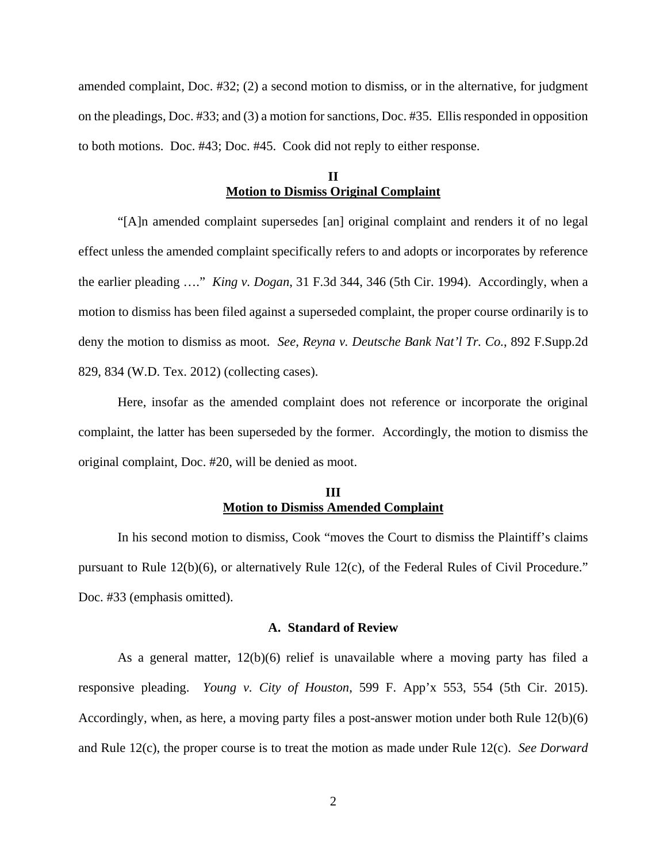amended complaint, Doc. #32; (2) a second motion to dismiss, or in the alternative, for judgment on the pleadings, Doc. #33; and (3) a motion for sanctions, Doc. #35. Ellis responded in opposition to both motions. Doc. #43; Doc. #45. Cook did not reply to either response.

# **II Motion to Dismiss Original Complaint**

 "[A]n amended complaint supersedes [an] original complaint and renders it of no legal effect unless the amended complaint specifically refers to and adopts or incorporates by reference the earlier pleading …." *King v. Dogan*, 31 F.3d 344, 346 (5th Cir. 1994). Accordingly, when a motion to dismiss has been filed against a superseded complaint, the proper course ordinarily is to deny the motion to dismiss as moot. *See, Reyna v. Deutsche Bank Nat'l Tr. Co.*, 892 F.Supp.2d 829, 834 (W.D. Tex. 2012) (collecting cases).

Here, insofar as the amended complaint does not reference or incorporate the original complaint, the latter has been superseded by the former. Accordingly, the motion to dismiss the original complaint, Doc. #20, will be denied as moot.

# **III Motion to Dismiss Amended Complaint**

 In his second motion to dismiss, Cook "moves the Court to dismiss the Plaintiff's claims pursuant to Rule 12(b)(6), or alternatively Rule 12(c), of the Federal Rules of Civil Procedure." Doc. #33 (emphasis omitted).

#### **A. Standard of Review**

As a general matter,  $12(b)(6)$  relief is unavailable where a moving party has filed a responsive pleading. *Young v. City of Houston*, 599 F. App'x 553, 554 (5th Cir. 2015). Accordingly, when, as here, a moving party files a post-answer motion under both Rule 12(b)(6) and Rule 12(c), the proper course is to treat the motion as made under Rule 12(c). *See Dorward*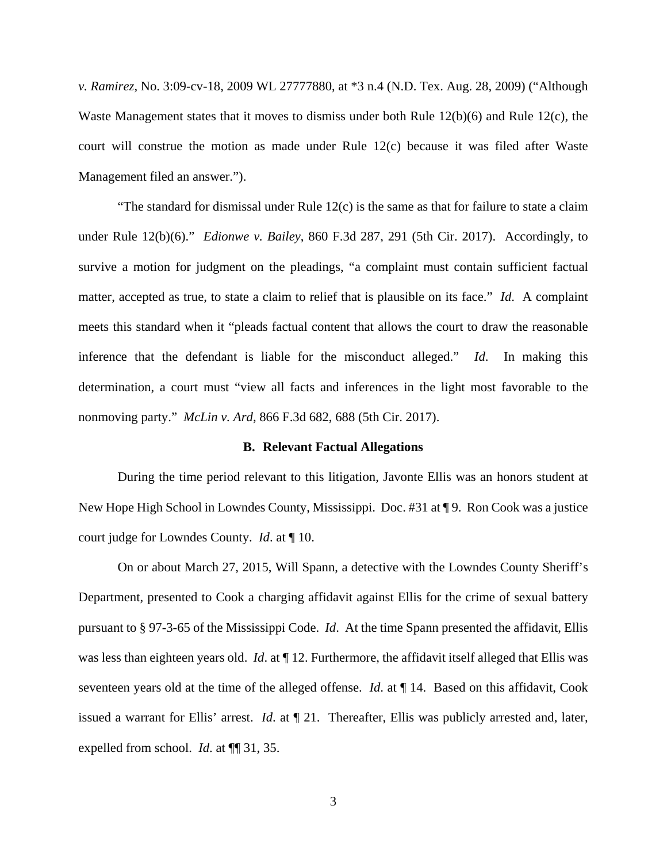*v. Ramirez*, No. 3:09-cv-18, 2009 WL 27777880, at \*3 n.4 (N.D. Tex. Aug. 28, 2009) ("Although Waste Management states that it moves to dismiss under both Rule 12(b)(6) and Rule 12(c), the court will construe the motion as made under Rule 12(c) because it was filed after Waste Management filed an answer.").

"The standard for dismissal under Rule  $12(c)$  is the same as that for failure to state a claim under Rule 12(b)(6)." *Edionwe v. Bailey*, 860 F.3d 287, 291 (5th Cir. 2017). Accordingly, to survive a motion for judgment on the pleadings, "a complaint must contain sufficient factual matter, accepted as true, to state a claim to relief that is plausible on its face." *Id*. A complaint meets this standard when it "pleads factual content that allows the court to draw the reasonable inference that the defendant is liable for the misconduct alleged." *Id*. In making this determination, a court must "view all facts and inferences in the light most favorable to the nonmoving party." *McLin v. Ard*, 866 F.3d 682, 688 (5th Cir. 2017).

#### **B. Relevant Factual Allegations**

During the time period relevant to this litigation, Javonte Ellis was an honors student at New Hope High School in Lowndes County, Mississippi. Doc. #31 at ¶ 9. Ron Cook was a justice court judge for Lowndes County. *Id*. at ¶ 10.

On or about March 27, 2015, Will Spann, a detective with the Lowndes County Sheriff's Department, presented to Cook a charging affidavit against Ellis for the crime of sexual battery pursuant to § 97-3-65 of the Mississippi Code. *Id*. At the time Spann presented the affidavit, Ellis was less than eighteen years old. *Id*. at ¶ 12. Furthermore, the affidavit itself alleged that Ellis was seventeen years old at the time of the alleged offense. *Id*. at ¶ 14. Based on this affidavit, Cook issued a warrant for Ellis' arrest. *Id*. at ¶ 21. Thereafter, Ellis was publicly arrested and, later, expelled from school. *Id*. at ¶¶ 31, 35.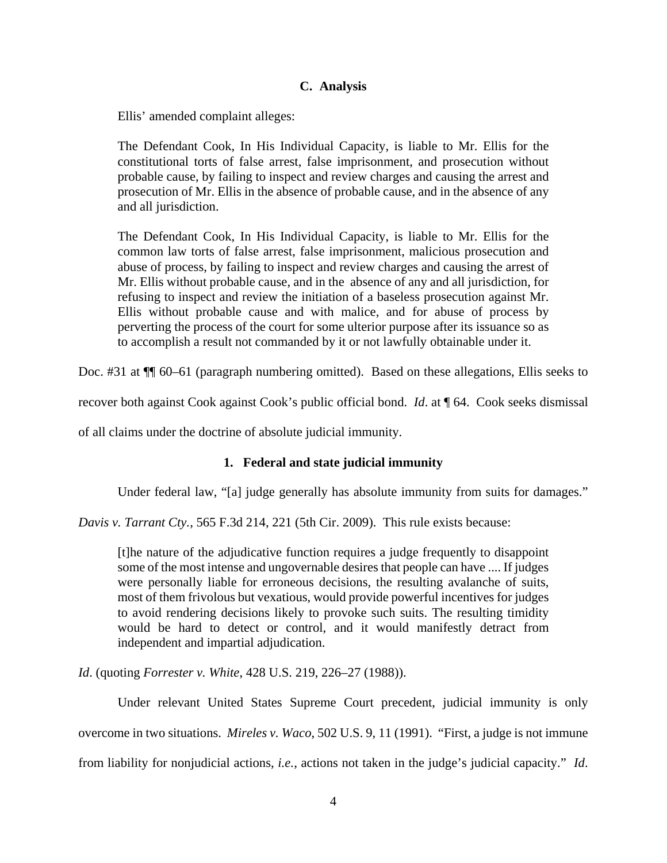# **C. Analysis**

Ellis' amended complaint alleges:

The Defendant Cook, In His Individual Capacity, is liable to Mr. Ellis for the constitutional torts of false arrest, false imprisonment, and prosecution without probable cause, by failing to inspect and review charges and causing the arrest and prosecution of Mr. Ellis in the absence of probable cause, and in the absence of any and all jurisdiction.

The Defendant Cook, In His Individual Capacity, is liable to Mr. Ellis for the common law torts of false arrest, false imprisonment, malicious prosecution and abuse of process, by failing to inspect and review charges and causing the arrest of Mr. Ellis without probable cause, and in the absence of any and all jurisdiction, for refusing to inspect and review the initiation of a baseless prosecution against Mr. Ellis without probable cause and with malice, and for abuse of process by perverting the process of the court for some ulterior purpose after its issuance so as to accomplish a result not commanded by it or not lawfully obtainable under it.

Doc. #31 at  $\P$  60–61 (paragraph numbering omitted). Based on these allegations, Ellis seeks to

recover both against Cook against Cook's public official bond. *Id*. at ¶ 64. Cook seeks dismissal

of all claims under the doctrine of absolute judicial immunity.

#### **1. Federal and state judicial immunity**

Under federal law, "[a] judge generally has absolute immunity from suits for damages."

*Davis v. Tarrant Cty.,* 565 F.3d 214, 221 (5th Cir. 2009). This rule exists because:

[t]he nature of the adjudicative function requires a judge frequently to disappoint some of the most intense and ungovernable desires that people can have .... If judges were personally liable for erroneous decisions, the resulting avalanche of suits, most of them frivolous but vexatious, would provide powerful incentives for judges to avoid rendering decisions likely to provoke such suits. The resulting timidity would be hard to detect or control, and it would manifestly detract from independent and impartial adjudication.

*Id*. (quoting *Forrester v. White*, 428 U.S. 219, 226–27 (1988)).

 Under relevant United States Supreme Court precedent, judicial immunity is only overcome in two situations. *Mireles v. Waco*, 502 U.S. 9, 11 (1991). "First, a judge is not immune from liability for nonjudicial actions, *i.e.*, actions not taken in the judge's judicial capacity." *Id*.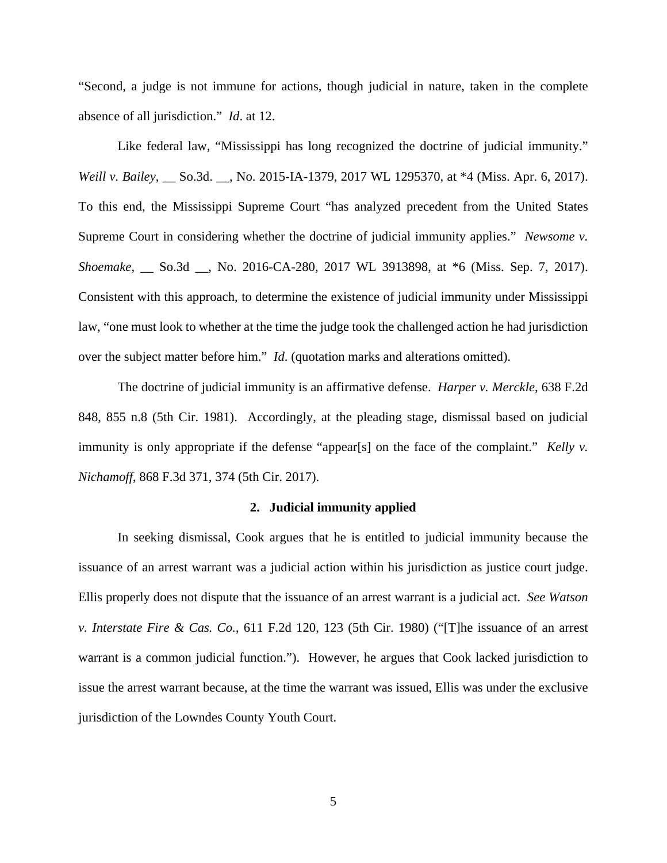"Second, a judge is not immune for actions, though judicial in nature, taken in the complete absence of all jurisdiction." *Id*. at 12.

 Like federal law, "Mississippi has long recognized the doctrine of judicial immunity." *Weill v. Bailey*, \_\_ So.3d. \_\_, No. 2015-IA-1379, 2017 WL 1295370, at \*4 (Miss. Apr. 6, 2017). To this end, the Mississippi Supreme Court "has analyzed precedent from the United States Supreme Court in considering whether the doctrine of judicial immunity applies." *Newsome v. Shoemake*, \_\_ So.3d \_\_, No. 2016-CA-280, 2017 WL 3913898, at \*6 (Miss. Sep. 7, 2017). Consistent with this approach, to determine the existence of judicial immunity under Mississippi law, "one must look to whether at the time the judge took the challenged action he had jurisdiction over the subject matter before him." *Id*. (quotation marks and alterations omitted).

 The doctrine of judicial immunity is an affirmative defense. *Harper v. Merckle*, 638 F.2d 848, 855 n.8 (5th Cir. 1981). Accordingly, at the pleading stage, dismissal based on judicial immunity is only appropriate if the defense "appear[s] on the face of the complaint." *Kelly v. Nichamoff*, 868 F.3d 371, 374 (5th Cir. 2017).

#### **2. Judicial immunity applied**

In seeking dismissal, Cook argues that he is entitled to judicial immunity because the issuance of an arrest warrant was a judicial action within his jurisdiction as justice court judge. Ellis properly does not dispute that the issuance of an arrest warrant is a judicial act. *See Watson v. Interstate Fire & Cas. Co.*, 611 F.2d 120, 123 (5th Cir. 1980) ("[T]he issuance of an arrest warrant is a common judicial function."). However, he argues that Cook lacked jurisdiction to issue the arrest warrant because, at the time the warrant was issued, Ellis was under the exclusive jurisdiction of the Lowndes County Youth Court.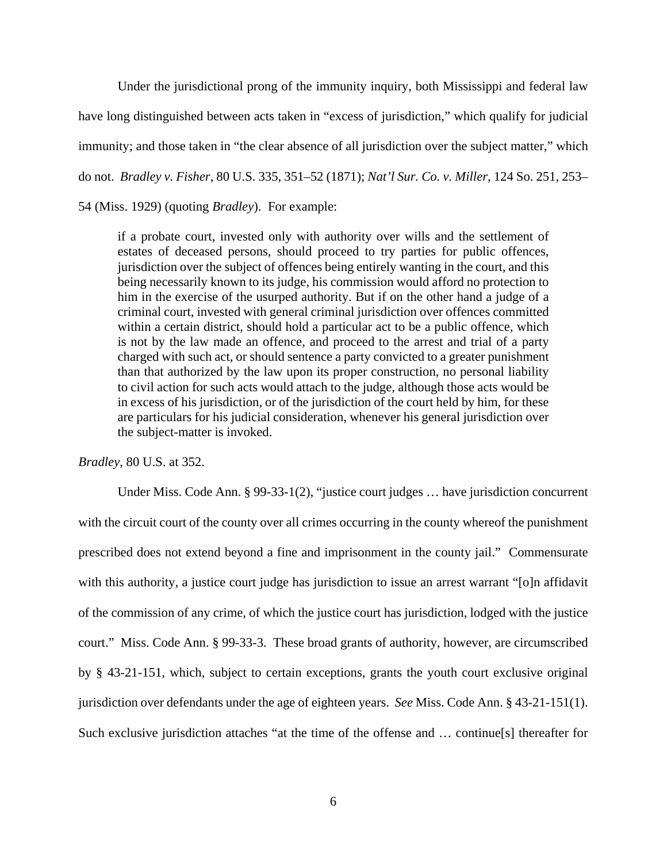Under the jurisdictional prong of the immunity inquiry, both Mississippi and federal law have long distinguished between acts taken in "excess of jurisdiction," which qualify for judicial immunity; and those taken in "the clear absence of all jurisdiction over the subject matter," which do not. *Bradley v. Fisher*, 80 U.S. 335, 351–52 (1871); *Nat'l Sur. Co. v. Miller*, 124 So. 251, 253– 54 (Miss. 1929) (quoting *Bradley*). For example:

if a probate court, invested only with authority over wills and the settlement of estates of deceased persons, should proceed to try parties for public offences, jurisdiction over the subject of offences being entirely wanting in the court, and this being necessarily known to its judge, his commission would afford no protection to him in the exercise of the usurped authority. But if on the other hand a judge of a criminal court, invested with general criminal jurisdiction over offences committed within a certain district, should hold a particular act to be a public offence, which is not by the law made an offence, and proceed to the arrest and trial of a party charged with such act, or should sentence a party convicted to a greater punishment than that authorized by the law upon its proper construction, no personal liability to civil action for such acts would attach to the judge, although those acts would be in excess of his jurisdiction, or of the jurisdiction of the court held by him, for these are particulars for his judicial consideration, whenever his general jurisdiction over the subject-matter is invoked.

*Bradley*, 80 U.S. at 352.

Under Miss. Code Ann. § 99-33-1(2), "justice court judges … have jurisdiction concurrent with the circuit court of the county over all crimes occurring in the county whereof the punishment prescribed does not extend beyond a fine and imprisonment in the county jail." Commensurate with this authority, a justice court judge has jurisdiction to issue an arrest warrant "[o]n affidavit of the commission of any crime, of which the justice court has jurisdiction, lodged with the justice court." Miss. Code Ann. § 99-33-3. These broad grants of authority, however, are circumscribed by § 43-21-151, which, subject to certain exceptions, grants the youth court exclusive original jurisdiction over defendants under the age of eighteen years. *See* Miss. Code Ann. § 43-21-151(1). Such exclusive jurisdiction attaches "at the time of the offense and … continue[s] thereafter for